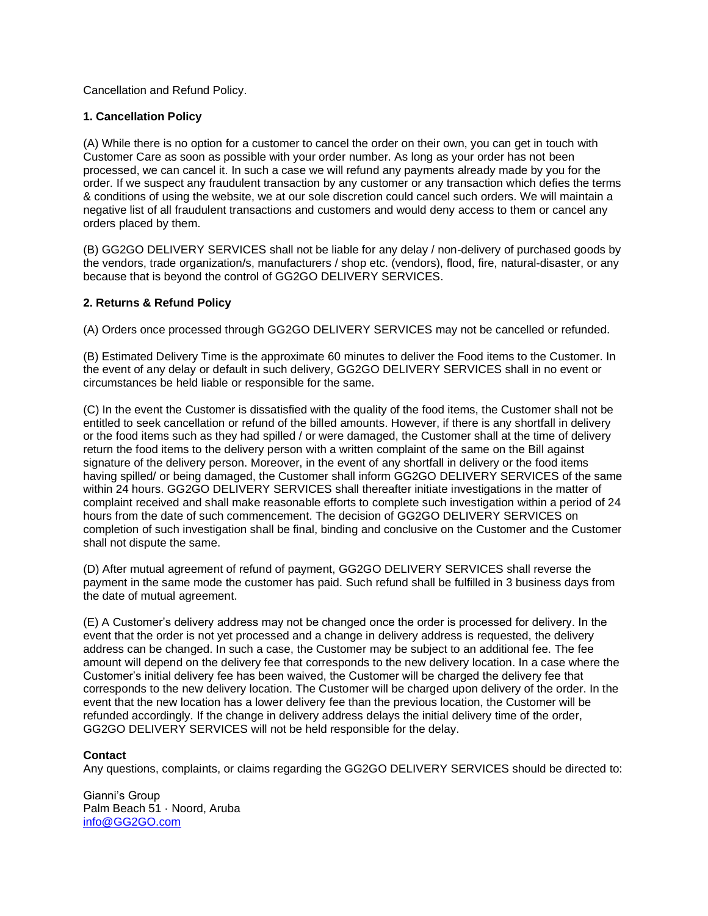Cancellation and Refund Policy.

## **1. Cancellation Policy**

(A) While there is no option for a customer to cancel the order on their own, you can get in touch with Customer Care as soon as possible with your order number. As long as your order has not been processed, we can cancel it. In such a case we will refund any payments already made by you for the order. If we suspect any fraudulent transaction by any customer or any transaction which defies the terms & conditions of using the website, we at our sole discretion could cancel such orders. We will maintain a negative list of all fraudulent transactions and customers and would deny access to them or cancel any orders placed by them.

(B) GG2GO DELIVERY SERVICES shall not be liable for any delay / non-delivery of purchased goods by the vendors, trade organization/s, manufacturers / shop etc. (vendors), flood, fire, natural-disaster, or any because that is beyond the control of GG2GO DELIVERY SERVICES.

## **2. Returns & Refund Policy**

(A) Orders once processed through GG2GO DELIVERY SERVICES may not be cancelled or refunded.

(B) Estimated Delivery Time is the approximate 60 minutes to deliver the Food items to the Customer. In the event of any delay or default in such delivery, GG2GO DELIVERY SERVICES shall in no event or circumstances be held liable or responsible for the same.

(C) In the event the Customer is dissatisfied with the quality of the food items, the Customer shall not be entitled to seek cancellation or refund of the billed amounts. However, if there is any shortfall in delivery or the food items such as they had spilled / or were damaged, the Customer shall at the time of delivery return the food items to the delivery person with a written complaint of the same on the Bill against signature of the delivery person. Moreover, in the event of any shortfall in delivery or the food items having spilled/ or being damaged, the Customer shall inform GG2GO DELIVERY SERVICES of the same within 24 hours. GG2GO DELIVERY SERVICES shall thereafter initiate investigations in the matter of complaint received and shall make reasonable efforts to complete such investigation within a period of 24 hours from the date of such commencement. The decision of GG2GO DELIVERY SERVICES on completion of such investigation shall be final, binding and conclusive on the Customer and the Customer shall not dispute the same.

(D) After mutual agreement of refund of payment, GG2GO DELIVERY SERVICES shall reverse the payment in the same mode the customer has paid. Such refund shall be fulfilled in 3 business days from the date of mutual agreement.

(E) A Customer's delivery address may not be changed once the order is processed for delivery. In the event that the order is not yet processed and a change in delivery address is requested, the delivery address can be changed. In such a case, the Customer may be subject to an additional fee. The fee amount will depend on the delivery fee that corresponds to the new delivery location. In a case where the Customer's initial delivery fee has been waived, the Customer will be charged the delivery fee that corresponds to the new delivery location. The Customer will be charged upon delivery of the order. In the event that the new location has a lower delivery fee than the previous location, the Customer will be refunded accordingly. If the change in delivery address delays the initial delivery time of the order, GG2GO DELIVERY SERVICES will not be held responsible for the delay.

## **Contact**

Any questions, complaints, or claims regarding the GG2GO DELIVERY SERVICES should be directed to:

Gianni's Group Palm Beach 51 · Noord, Aruba [info@GG2GO.com](mailto:info@GG2GO.com)